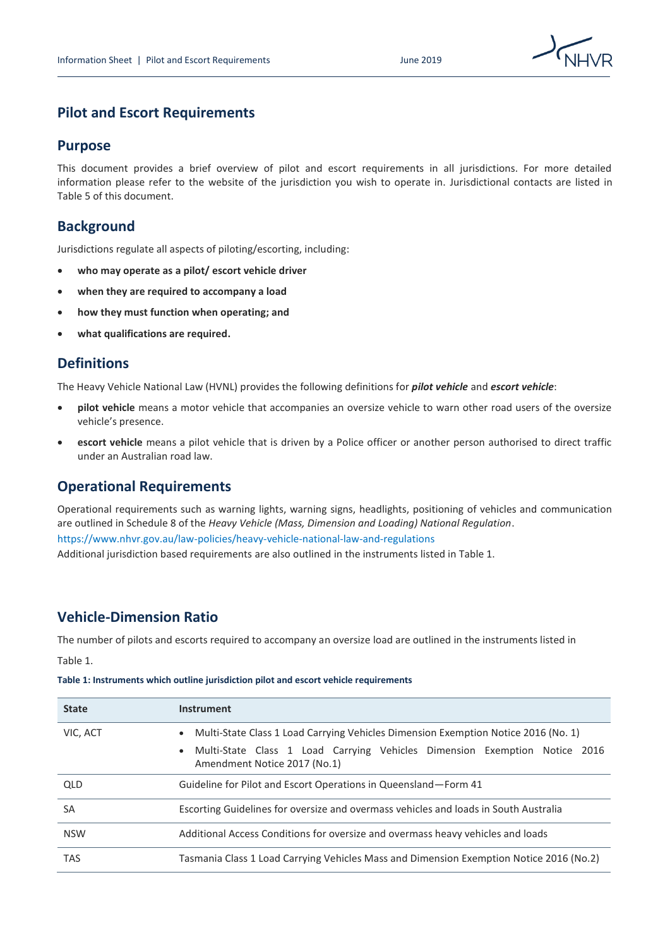

# **Pilot and Escort Requirements**

### **Purpose**

This document provides a brief overview of pilot and escort requirements in all jurisdictions. For more detailed information please refer to the website of the jurisdiction you wish to operate in. Jurisdictional contacts are listed in Table 5 of this document.

# **Background**

Jurisdictions regulate all aspects of piloting/escorting, including:

- **who may operate as a pilot/ escort vehicle driver**
- **when they are required to accompany a load**
- **how they must function when operating; and**
- **what qualifications are required.**

# **Definitions**

The Heavy Vehicle National Law (HVNL) provides the following definitions for *pilot vehicle* and *escort vehicle*:

- **pilot vehicle** means a motor vehicle that accompanies an oversize vehicle to warn other road users of the oversize vehicle's presence.
- **escort vehicle** means a pilot vehicle that is driven by a Police officer or another person authorised to direct traffic under an Australian road law.

## **Operational Requirements**

Operational requirements such as warning lights, warning signs, headlights, positioning of vehicles and communication are outlined in Schedule 8 of the *Heavy Vehicle (Mass, Dimension and Loading) National Regulation*. <https://www.nhvr.gov.au/law-policies/heavy-vehicle-national-law-and-regulations> Additional jurisdiction based requirements are also outlined in the instruments listed in Table 1.

## **Vehicle-Dimension Ratio**

The number of pilots and escorts required to accompany an oversize load are outlined in the instruments listed in

Table 1.

|  |  |  |  | Table 1: Instruments which outline jurisdiction pilot and escort vehicle requirements |
|--|--|--|--|---------------------------------------------------------------------------------------|
|--|--|--|--|---------------------------------------------------------------------------------------|

| <b>State</b> | <b>Instrument</b>                                                                                                                                                                                                          |
|--------------|----------------------------------------------------------------------------------------------------------------------------------------------------------------------------------------------------------------------------|
| VIC, ACT     | Multi-State Class 1 Load Carrying Vehicles Dimension Exemption Notice 2016 (No. 1)<br>$\bullet$<br>Multi-State Class 1 Load Carrying Vehicles Dimension Exemption Notice 2016<br>$\bullet$<br>Amendment Notice 2017 (No.1) |
| QLD          | Guideline for Pilot and Escort Operations in Queensland-Form 41                                                                                                                                                            |
| SA           | Escorting Guidelines for oversize and overmass vehicles and loads in South Australia                                                                                                                                       |
| <b>NSW</b>   | Additional Access Conditions for oversize and overmass heavy vehicles and loads                                                                                                                                            |
| <b>TAS</b>   | Tasmania Class 1 Load Carrying Vehicles Mass and Dimension Exemption Notice 2016 (No.2)                                                                                                                                    |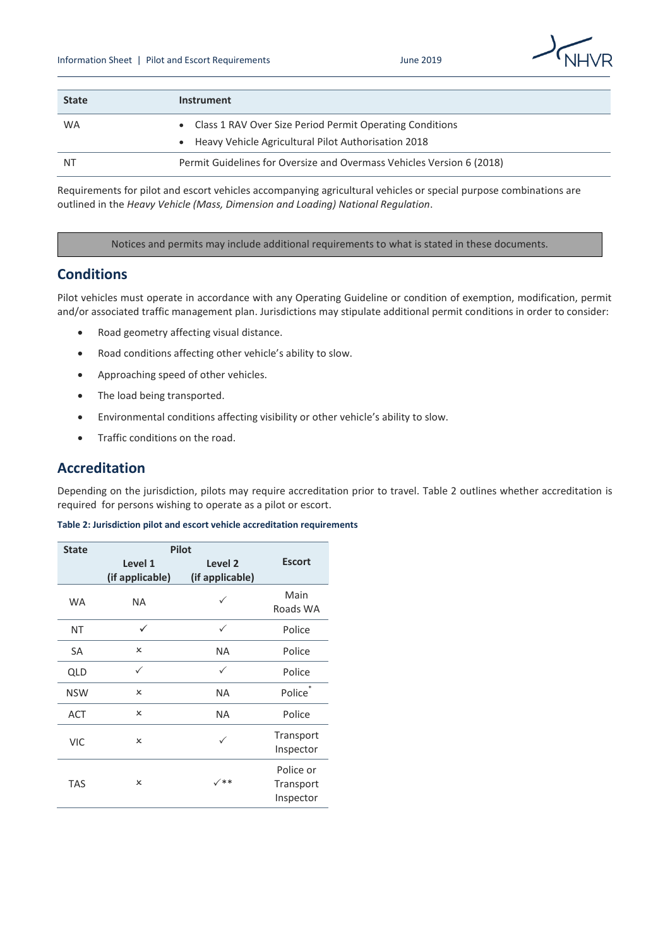

| <b>State</b> | Instrument                                                                                                          |
|--------------|---------------------------------------------------------------------------------------------------------------------|
| <b>WA</b>    | • Class 1 RAV Over Size Period Permit Operating Conditions<br>• Heavy Vehicle Agricultural Pilot Authorisation 2018 |
| NT.          | Permit Guidelines for Oversize and Overmass Vehicles Version 6 (2018)                                               |

Requirements for pilot and escort vehicles accompanying agricultural vehicles or special purpose combinations are outlined in the *Heavy Vehicle (Mass, Dimension and Loading) National Regulation*.

Notices and permits may include additional requirements to what is stated in these documents.

### **Conditions**

Pilot vehicles must operate in accordance with any Operating Guideline or condition of exemption, modification, permit and/or associated traffic management plan. Jurisdictions may stipulate additional permit conditions in order to consider:

- Road geometry affecting visual distance.
- Road conditions affecting other vehicle's ability to slow.
- Approaching speed of other vehicles.
- The load being transported.
- Environmental conditions affecting visibility or other vehicle's ability to slow.
- Traffic conditions on the road.

## **Accreditation**

Depending on the jurisdiction, pilots may require accreditation prior to travel. Table 2 outlines whether accreditation is required for persons wishing to operate as a pilot or escort.

#### **Table 2: Jurisdiction pilot and escort vehicle accreditation requirements**

| <b>State</b> | <b>Pilot</b>               |                                       |                                     |  |
|--------------|----------------------------|---------------------------------------|-------------------------------------|--|
|              | Level 1<br>(if applicable) | Level <sub>2</sub><br>(if applicable) | <b>Escort</b>                       |  |
| <b>WA</b>    | <b>NA</b>                  |                                       | Main<br>Roads WA                    |  |
| NT           | ✓                          | ✓                                     | Police                              |  |
| SA           | ×                          | <b>NA</b>                             | Police                              |  |
| QLD          | ✓                          | ✓                                     | Police                              |  |
| <b>NSW</b>   | x                          | <b>NA</b>                             | Police <sup>®</sup>                 |  |
| <b>ACT</b>   | x                          | <b>NA</b>                             | Police                              |  |
| <b>VIC</b>   | x                          | $\checkmark$                          | Transport<br>Inspector              |  |
| <b>TAS</b>   | x                          | $\checkmark$                          | Police or<br>Transport<br>Inspector |  |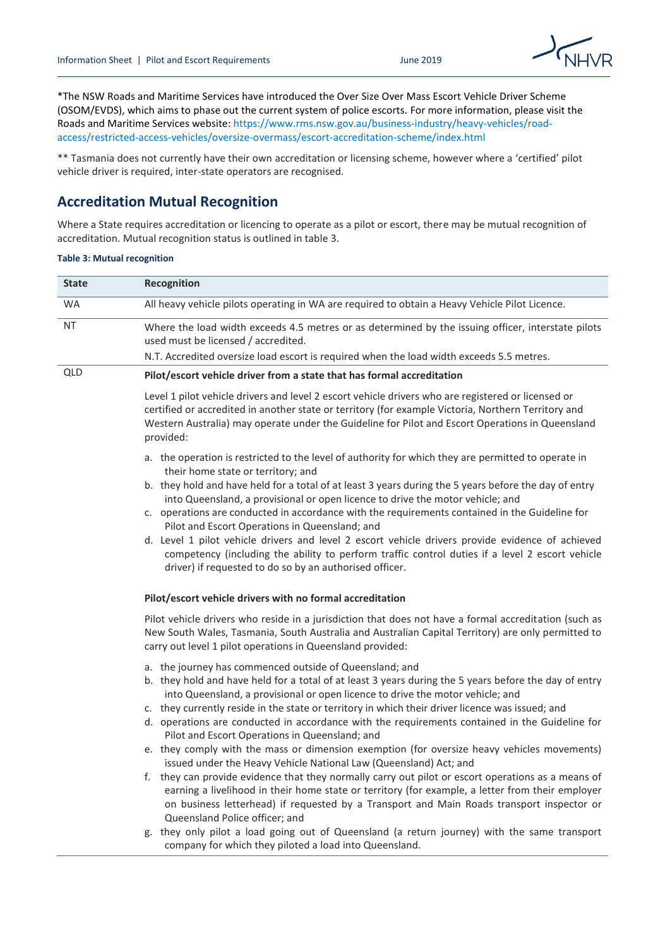

\*The NSW Roads and Maritime Services have introduced the Over Size Over Mass Escort Vehicle Driver Scheme (OSOM/EVDS), which aims to phase out the current system of police escorts. For more information, please visit the Roads and Maritime Services website[: https://www.rms.nsw.gov.au/business-industry/heavy-vehicles/road](https://www.rms.nsw.gov.au/business-industry/heavy-vehicles/road-access/restricted-access-vehicles/oversize-overmass/escort-accreditation-scheme/index.html)[access/restricted-access-vehicles/oversize-overmass/escort-accreditation-scheme/index.html](https://www.rms.nsw.gov.au/business-industry/heavy-vehicles/road-access/restricted-access-vehicles/oversize-overmass/escort-accreditation-scheme/index.html)

\*\* Tasmania does not currently have their own accreditation or licensing scheme, however where a 'certified' pilot vehicle driver is required, inter-state operators are recognised.

### **Accreditation Mutual Recognition**

Where a State requires accreditation or licencing to operate as a pilot or escort, there may be mutual recognition of accreditation. Mutual recognition status is outlined in table 3.

#### **Table 3: Mutual recognition**

| <b>State</b> | Recognition                                                                                                                                                                                                                                                                                                                                                                                                                                                                                                                                                                                                                                                                                                                                                                                                                                                                                                                                                                                                                                                                                                                                                                       |  |  |  |  |
|--------------|-----------------------------------------------------------------------------------------------------------------------------------------------------------------------------------------------------------------------------------------------------------------------------------------------------------------------------------------------------------------------------------------------------------------------------------------------------------------------------------------------------------------------------------------------------------------------------------------------------------------------------------------------------------------------------------------------------------------------------------------------------------------------------------------------------------------------------------------------------------------------------------------------------------------------------------------------------------------------------------------------------------------------------------------------------------------------------------------------------------------------------------------------------------------------------------|--|--|--|--|
| <b>WA</b>    | All heavy vehicle pilots operating in WA are required to obtain a Heavy Vehicle Pilot Licence.                                                                                                                                                                                                                                                                                                                                                                                                                                                                                                                                                                                                                                                                                                                                                                                                                                                                                                                                                                                                                                                                                    |  |  |  |  |
| NΤ           | Where the load width exceeds 4.5 metres or as determined by the issuing officer, interstate pilots<br>used must be licensed / accredited.                                                                                                                                                                                                                                                                                                                                                                                                                                                                                                                                                                                                                                                                                                                                                                                                                                                                                                                                                                                                                                         |  |  |  |  |
|              | N.T. Accredited oversize load escort is required when the load width exceeds 5.5 metres.                                                                                                                                                                                                                                                                                                                                                                                                                                                                                                                                                                                                                                                                                                                                                                                                                                                                                                                                                                                                                                                                                          |  |  |  |  |
| QLD          | Pilot/escort vehicle driver from a state that has formal accreditation                                                                                                                                                                                                                                                                                                                                                                                                                                                                                                                                                                                                                                                                                                                                                                                                                                                                                                                                                                                                                                                                                                            |  |  |  |  |
|              | Level 1 pilot vehicle drivers and level 2 escort vehicle drivers who are registered or licensed or<br>certified or accredited in another state or territory (for example Victoria, Northern Territory and<br>Western Australia) may operate under the Guideline for Pilot and Escort Operations in Queensland<br>provided:                                                                                                                                                                                                                                                                                                                                                                                                                                                                                                                                                                                                                                                                                                                                                                                                                                                        |  |  |  |  |
|              | a. the operation is restricted to the level of authority for which they are permitted to operate in<br>their home state or territory; and<br>b. they hold and have held for a total of at least 3 years during the 5 years before the day of entry<br>into Queensland, a provisional or open licence to drive the motor vehicle; and<br>c. operations are conducted in accordance with the requirements contained in the Guideline for<br>Pilot and Escort Operations in Queensland; and<br>d. Level 1 pilot vehicle drivers and level 2 escort vehicle drivers provide evidence of achieved<br>competency (including the ability to perform traffic control duties if a level 2 escort vehicle<br>driver) if requested to do so by an authorised officer.                                                                                                                                                                                                                                                                                                                                                                                                                        |  |  |  |  |
|              | Pilot/escort vehicle drivers with no formal accreditation                                                                                                                                                                                                                                                                                                                                                                                                                                                                                                                                                                                                                                                                                                                                                                                                                                                                                                                                                                                                                                                                                                                         |  |  |  |  |
|              | Pilot vehicle drivers who reside in a jurisdiction that does not have a formal accreditation (such as<br>New South Wales, Tasmania, South Australia and Australian Capital Territory) are only permitted to<br>carry out level 1 pilot operations in Queensland provided:                                                                                                                                                                                                                                                                                                                                                                                                                                                                                                                                                                                                                                                                                                                                                                                                                                                                                                         |  |  |  |  |
|              | a. the journey has commenced outside of Queensland; and<br>b. they hold and have held for a total of at least 3 years during the 5 years before the day of entry<br>into Queensland, a provisional or open licence to drive the motor vehicle; and<br>c. they currently reside in the state or territory in which their driver licence was issued; and<br>d. operations are conducted in accordance with the requirements contained in the Guideline for<br>Pilot and Escort Operations in Queensland; and<br>e. they comply with the mass or dimension exemption (for oversize heavy vehicles movements)<br>issued under the Heavy Vehicle National Law (Queensland) Act; and<br>f. they can provide evidence that they normally carry out pilot or escort operations as a means of<br>earning a livelihood in their home state or territory (for example, a letter from their employer<br>on business letterhead) if requested by a Transport and Main Roads transport inspector or<br>Queensland Police officer; and<br>g. they only pilot a load going out of Queensland (a return journey) with the same transport<br>company for which they piloted a load into Queensland. |  |  |  |  |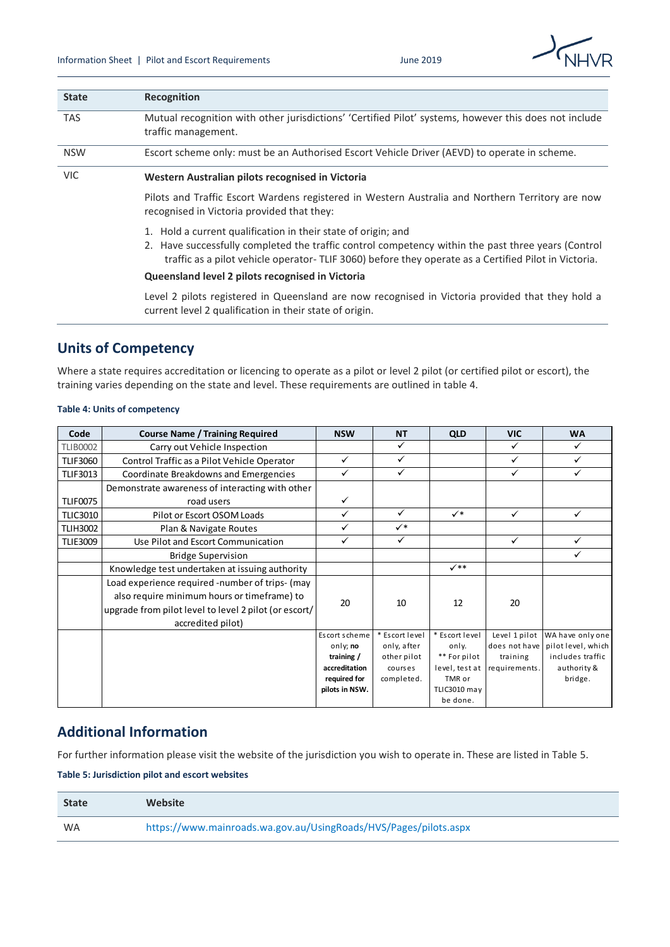

| <b>State</b> | Recognition                                                                                                                                                                                                                                                                                                                      |  |  |
|--------------|----------------------------------------------------------------------------------------------------------------------------------------------------------------------------------------------------------------------------------------------------------------------------------------------------------------------------------|--|--|
| <b>TAS</b>   | Mutual recognition with other jurisdictions' 'Certified Pilot' systems, however this does not include<br>traffic management.                                                                                                                                                                                                     |  |  |
| <b>NSW</b>   | Escort scheme only: must be an Authorised Escort Vehicle Driver (AEVD) to operate in scheme.                                                                                                                                                                                                                                     |  |  |
| <b>VIC</b>   | Western Australian pilots recognised in Victoria                                                                                                                                                                                                                                                                                 |  |  |
|              | Pilots and Traffic Escort Wardens registered in Western Australia and Northern Territory are now<br>recognised in Victoria provided that they:                                                                                                                                                                                   |  |  |
|              | 1. Hold a current qualification in their state of origin; and<br>2. Have successfully completed the traffic control competency within the past three years (Control<br>traffic as a pilot vehicle operator- TLIF 3060) before they operate as a Certified Pilot in Victoria.<br>Queensland level 2 pilots recognised in Victoria |  |  |
|              | e blots registered in Queensland are now recognised in Victoria provided that they hold                                                                                                                                                                                                                                          |  |  |

Level 2 pilots registered in Queensland are now recognised in Victoria provided that they hold a current level 2 qualification in their state of origin.

# **Units of Competency**

Where a state requires accreditation or licencing to operate as a pilot or level 2 pilot (or certified pilot or escort), the

#### **Table 4: Units of competency**

|                 | <b>Table 4: Units of competency</b>                                                                                                                                          |                        |                            |                          |                           |                                        |
|-----------------|------------------------------------------------------------------------------------------------------------------------------------------------------------------------------|------------------------|----------------------------|--------------------------|---------------------------|----------------------------------------|
| Code            | <b>Course Name / Training Required</b>                                                                                                                                       | <b>NSW</b>             | <b>NT</b>                  | QLD                      | <b>VIC</b>                | <b>WA</b>                              |
| <b>TLIB0002</b> | Carry out Vehicle Inspection                                                                                                                                                 |                        | ✓                          |                          | ✓                         | ✓                                      |
| <b>TLIF3060</b> | Control Traffic as a Pilot Vehicle Operator                                                                                                                                  | $\checkmark$           | $\checkmark$               |                          | ✓                         | $\checkmark$                           |
| <b>TLIF3013</b> | Coordinate Breakdowns and Emergencies                                                                                                                                        | $\checkmark$           | $\checkmark$               |                          | ✓                         | ✓                                      |
|                 | Demonstrate awareness of interacting with other                                                                                                                              |                        |                            |                          |                           |                                        |
| <b>TLIF0075</b> | road users                                                                                                                                                                   | $\checkmark$           |                            |                          |                           |                                        |
| <b>TLIC3010</b> | Pilot or Escort OSOM Loads                                                                                                                                                   | $\checkmark$           | $\checkmark$               | $\checkmark$             | $\checkmark$              | $\checkmark$                           |
| <b>TLIH3002</b> | Plan & Navigate Routes                                                                                                                                                       | $\checkmark$           | $\checkmark$               |                          |                           |                                        |
| <b>TLIE3009</b> | Use Pilot and Escort Communication                                                                                                                                           | $\checkmark$           | $\checkmark$               |                          | $\checkmark$              | ✓                                      |
|                 | <b>Bridge Supervision</b>                                                                                                                                                    |                        |                            |                          |                           | $\checkmark$                           |
|                 | Knowledge test undertaken at issuing authority                                                                                                                               |                        |                            | $\checkmark$             |                           |                                        |
|                 | Load experience required -number of trips- (may<br>also require minimum hours or timeframe) to<br>upgrade from pilot level to level 2 pilot (or escort/<br>accredited pilot) | 20                     | 10                         | 12                       | 20                        |                                        |
|                 |                                                                                                                                                                              | Escort scheme          | * Escort level             | * Escort level           | Level 1 pilot             | WA have only one                       |
|                 |                                                                                                                                                                              | only; no<br>training / | only, after<br>other pilot | only.<br>** For pilot    | does not have<br>training | pilot level, which<br>includes traffic |
|                 |                                                                                                                                                                              | accreditation          | courses                    | level, test at           | requirements.             | authority &                            |
|                 |                                                                                                                                                                              | required for           | completed.                 | TMR or                   |                           | bridge.                                |
|                 |                                                                                                                                                                              | pilots in NSW.         |                            | TLIC3010 may<br>be done. |                           |                                        |

## **Additional Information**

For further information please visit the website of the jurisdiction you wish to operate in. These are listed in Table 5.

**Table 5: Jurisdiction pilot and escort websites**

| <b>State</b> | <b>Website</b>                                                   |
|--------------|------------------------------------------------------------------|
| <b>WA</b>    | https://www.mainroads.wa.gov.au/UsingRoads/HVS/Pages/pilots.aspx |